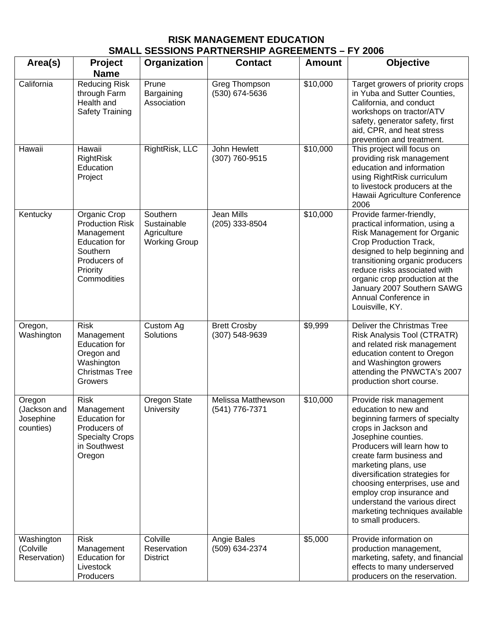## **RISK MANAGEMENT EDUCATION SMALL SESSIONS PARTNERSHIP AGREEMENTS – FY 2006**

| Area(s)                                          | Project<br><b>Name</b>                                                                                                              | Organization                                                   | <b>Contact</b>                        | <b>Amount</b> | <b>Objective</b>                                                                                                                                                                                                                                                                                                                                                                                              |
|--------------------------------------------------|-------------------------------------------------------------------------------------------------------------------------------------|----------------------------------------------------------------|---------------------------------------|---------------|---------------------------------------------------------------------------------------------------------------------------------------------------------------------------------------------------------------------------------------------------------------------------------------------------------------------------------------------------------------------------------------------------------------|
| California                                       | <b>Reducing Risk</b><br>through Farm<br>Health and<br><b>Safety Training</b>                                                        | Prune<br>Bargaining<br>Association                             | Greg Thompson<br>(530) 674-5636       | \$10,000      | Target growers of priority crops<br>in Yuba and Sutter Counties,<br>California, and conduct<br>workshops on tractor/ATV<br>safety, generator safety, first<br>aid, CPR, and heat stress<br>prevention and treatment.                                                                                                                                                                                          |
| Hawaii                                           | Hawaii<br><b>RightRisk</b><br>Education<br>Project                                                                                  | RightRisk, LLC                                                 | John Hewlett<br>(307) 760-9515        | \$10,000      | This project will focus on<br>providing risk management<br>education and information<br>using RightRisk curriculum<br>to livestock producers at the<br>Hawaii Agriculture Conference<br>2006                                                                                                                                                                                                                  |
| Kentucky                                         | Organic Crop<br><b>Production Risk</b><br>Management<br><b>Education for</b><br>Southern<br>Producers of<br>Priority<br>Commodities | Southern<br>Sustainable<br>Agriculture<br><b>Working Group</b> | Jean Mills<br>(205) 333-8504          | \$10,000      | Provide farmer-friendly,<br>practical information, using a<br>Risk Management for Organic<br>Crop Production Track,<br>designed to help beginning and<br>transitioning organic producers<br>reduce risks associated with<br>organic crop production at the<br>January 2007 Southern SAWG<br>Annual Conference in<br>Louisville, KY.                                                                           |
| Oregon,<br>Washington                            | <b>Risk</b><br>Management<br><b>Education for</b><br>Oregon and<br>Washington<br><b>Christmas Tree</b><br>Growers                   | Custom Ag<br>Solutions                                         | <b>Brett Crosby</b><br>(307) 548-9639 | \$9,999       | Deliver the Christmas Tree<br>Risk Analysis Tool (CTRATR)<br>and related risk management<br>education content to Oregon<br>and Washington growers<br>attending the PNWCTA's 2007<br>production short course.                                                                                                                                                                                                  |
| Oregon<br>(Jackson and<br>Josephine<br>counties) | <b>Risk</b><br>Management<br><b>Education for</b><br>Producers of<br><b>Specialty Crops</b><br>in Southwest<br>Oregon               | Oregon State<br>University                                     | Melissa Matthewson<br>(541) 776-7371  | \$10,000      | Provide risk management<br>education to new and<br>beginning farmers of specialty<br>crops in Jackson and<br>Josephine counties.<br>Producers will learn how to<br>create farm business and<br>marketing plans, use<br>diversification strategies for<br>choosing enterprises, use and<br>employ crop insurance and<br>understand the various direct<br>marketing techniques available<br>to small producers. |
| Washington<br>(Colville<br>Reservation)          | <b>Risk</b><br>Management<br><b>Education for</b><br>Livestock<br>Producers                                                         | Colville<br>Reservation<br><b>District</b>                     | Angie Bales<br>(509) 634-2374         | \$5,000       | Provide information on<br>production management,<br>marketing, safety, and financial<br>effects to many underserved<br>producers on the reservation.                                                                                                                                                                                                                                                          |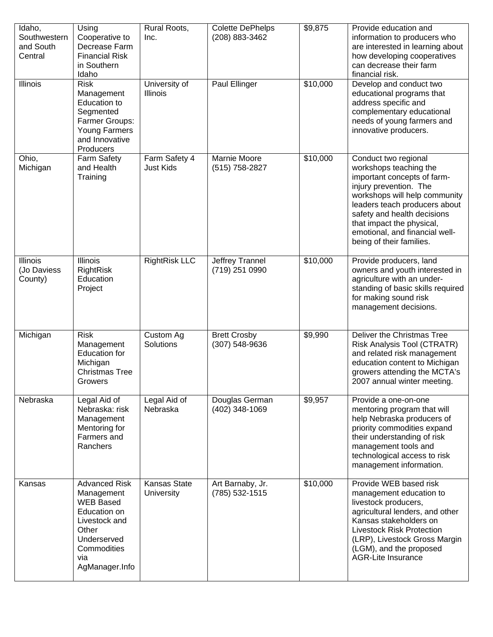| Idaho,<br>Southwestern<br>and South<br>Central | Using<br>Cooperative to<br>Decrease Farm<br><b>Financial Risk</b><br>in Southern<br>Idaho                                                               | Rural Roots,<br>Inc.                     | <b>Colette DePhelps</b><br>(208) 883-3462 | \$9,875  | Provide education and<br>information to producers who<br>are interested in learning about<br>how developing cooperatives<br>can decrease their farm<br>financial risk.                                                                                                                              |
|------------------------------------------------|---------------------------------------------------------------------------------------------------------------------------------------------------------|------------------------------------------|-------------------------------------------|----------|-----------------------------------------------------------------------------------------------------------------------------------------------------------------------------------------------------------------------------------------------------------------------------------------------------|
| <b>Illinois</b>                                | <b>Risk</b><br>Management<br>Education to<br>Segmented<br>Farmer Groups:<br><b>Young Farmers</b><br>and Innovative<br>Producers                         | University of<br><b>Illinois</b>         | Paul Ellinger                             | \$10,000 | Develop and conduct two<br>educational programs that<br>address specific and<br>complementary educational<br>needs of young farmers and<br>innovative producers.                                                                                                                                    |
| Ohio,<br>Michigan                              | Farm Safety<br>and Health<br>Training                                                                                                                   | Farm Safety 4<br><b>Just Kids</b>        | Marnie Moore<br>(515) 758-2827            | \$10,000 | Conduct two regional<br>workshops teaching the<br>important concepts of farm-<br>injury prevention. The<br>workshops will help community<br>leaders teach producers about<br>safety and health decisions<br>that impact the physical,<br>emotional, and financial well-<br>being of their families. |
| Illinois<br>(Jo Daviess<br>County)             | <b>Illinois</b><br><b>RightRisk</b><br>Education<br>Project                                                                                             | <b>RightRisk LLC</b>                     | Jeffrey Trannel<br>(719) 251 0990         | \$10,000 | Provide producers, land<br>owners and youth interested in<br>agriculture with an under-<br>standing of basic skills required<br>for making sound risk<br>management decisions.                                                                                                                      |
| Michigan                                       | <b>Risk</b><br>Management<br><b>Education for</b><br>Michigan<br><b>Christmas Tree</b><br>Growers                                                       | Custom Ag<br>Solutions                   | <b>Brett Crosby</b><br>(307) 548-9636     | \$9,990  | Deliver the Christmas Tree<br>Risk Analysis Tool (CTRATR)<br>and related risk management<br>education content to Michigan<br>growers attending the MCTA's<br>2007 annual winter meeting.                                                                                                            |
| Nebraska                                       | Legal Aid of<br>Nebraska: risk<br>Management<br>Mentoring for<br>Farmers and<br>Ranchers                                                                | Legal Aid of<br>Nebraska                 | Douglas German<br>(402) 348-1069          | \$9,957  | Provide a one-on-one<br>mentoring program that will<br>help Nebraska producers of<br>priority commodities expand<br>their understanding of risk<br>management tools and<br>technological access to risk<br>management information.                                                                  |
| Kansas                                         | <b>Advanced Risk</b><br>Management<br><b>WEB Based</b><br>Education on<br>Livestock and<br>Other<br>Underserved<br>Commodities<br>via<br>AgManager.Info | <b>Kansas State</b><br><b>University</b> | Art Barnaby, Jr.<br>(785) 532-1515        | \$10,000 | Provide WEB based risk<br>management education to<br>livestock producers,<br>agricultural lenders, and other<br>Kansas stakeholders on<br><b>Livestock Risk Protection</b><br>(LRP), Livestock Gross Margin<br>(LGM), and the proposed<br><b>AGR-Lite Insurance</b>                                 |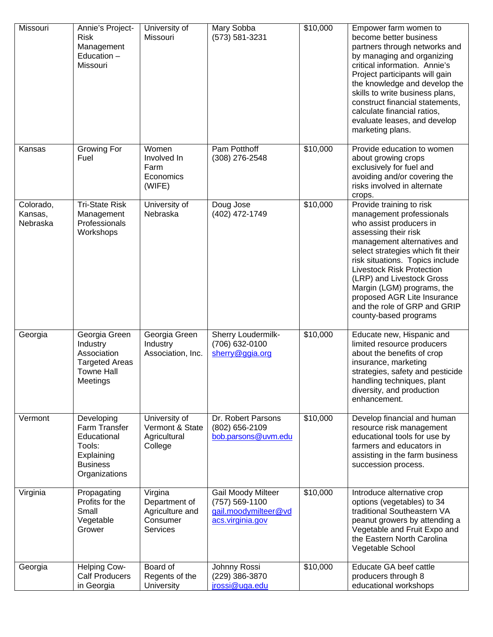| Missouri                         | Annie's Project-<br><b>Risk</b><br>Management<br>Education -<br>Missouri                               | University of<br>Missouri                                           | Mary Sobba<br>(573) 581-3231                                                            | \$10,000 | Empower farm women to<br>become better business<br>partners through networks and<br>by managing and organizing<br>critical information. Annie's<br>Project participants will gain<br>the knowledge and develop the<br>skills to write business plans,<br>construct financial statements,<br>calculate financial ratios,<br>evaluate leases, and develop<br>marketing plans.                           |
|----------------------------------|--------------------------------------------------------------------------------------------------------|---------------------------------------------------------------------|-----------------------------------------------------------------------------------------|----------|-------------------------------------------------------------------------------------------------------------------------------------------------------------------------------------------------------------------------------------------------------------------------------------------------------------------------------------------------------------------------------------------------------|
| Kansas                           | Growing For<br>Fuel                                                                                    | Women<br>Involved In<br>Farm<br>Economics<br>(WIFE)                 | Pam Potthoff<br>(308) 276-2548                                                          | \$10,000 | Provide education to women<br>about growing crops<br>exclusively for fuel and<br>avoiding and/or covering the<br>risks involved in alternate<br>crops.                                                                                                                                                                                                                                                |
| Colorado,<br>Kansas,<br>Nebraska | <b>Tri-State Risk</b><br>Management<br>Professionals<br>Workshops                                      | University of<br>Nebraska                                           | Doug Jose<br>(402) 472-1749                                                             | \$10,000 | Provide training to risk<br>management professionals<br>who assist producers in<br>assessing their risk<br>management alternatives and<br>select strategies which fit their<br>risk situations. Topics include<br><b>Livestock Risk Protection</b><br>(LRP) and Livestock Gross<br>Margin (LGM) programs, the<br>proposed AGR Lite Insurance<br>and the role of GRP and GRIP<br>county-based programs |
| Georgia                          | Georgia Green<br>Industry<br>Association<br><b>Targeted Areas</b><br><b>Towne Hall</b><br>Meetings     | Georgia Green<br>Industry<br>Association, Inc.                      | Sherry Loudermilk-<br>(706) 632-0100<br>sherry@ggia.org                                 | \$10,000 | Educate new, Hispanic and<br>limited resource producers<br>about the benefits of crop<br>insurance, marketing<br>strategies, safety and pesticide<br>handling techniques, plant<br>diversity, and production<br>enhancement.                                                                                                                                                                          |
| Vermont                          | Developing<br>Farm Transfer<br>Educational<br>Tools:<br>Explaining<br><b>Business</b><br>Organizations | University of<br>Vermont & State<br>Agricultural<br>College         | Dr. Robert Parsons<br>(802) 656-2109<br>bob.parsons@uvm.edu                             | \$10,000 | Develop financial and human<br>resource risk management<br>educational tools for use by<br>farmers and educators in<br>assisting in the farm business<br>succession process.                                                                                                                                                                                                                          |
| Virginia                         | Propagating<br>Profits for the<br>Small<br>Vegetable<br>Grower                                         | Virgina<br>Department of<br>Agriculture and<br>Consumer<br>Services | <b>Gail Moody Milteer</b><br>(757) 569-1100<br>gail.moodymilteer@vd<br>acs.virginia.gov | \$10,000 | Introduce alternative crop<br>options (vegetables) to 34<br>traditional Southeastern VA<br>peanut growers by attending a<br>Vegetable and Fruit Expo and<br>the Eastern North Carolina<br>Vegetable School                                                                                                                                                                                            |
| Georgia                          | Helping Cow-<br><b>Calf Producers</b><br>in Georgia                                                    | Board of<br>Regents of the<br>University                            | Johnny Rossi<br>(229) 386-3870<br>jrossi@uga.edu                                        | \$10,000 | Educate GA beef cattle<br>producers through 8<br>educational workshops                                                                                                                                                                                                                                                                                                                                |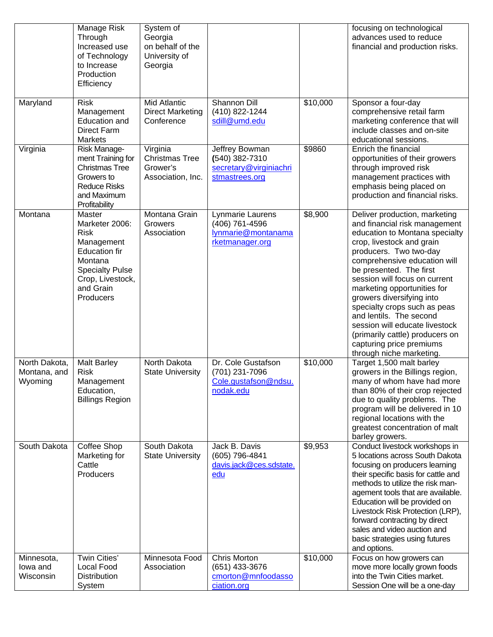|                                          | Manage Risk<br>Through<br>Increased use<br>of Technology<br>to Increase<br>Production<br>Efficiency                                                              | System of<br>Georgia<br>on behalf of the<br>University of<br>Georgia |                                                                              |          | focusing on technological<br>advances used to reduce<br>financial and production risks.                                                                                                                                                                                                                                                                                                                                                                                                                 |
|------------------------------------------|------------------------------------------------------------------------------------------------------------------------------------------------------------------|----------------------------------------------------------------------|------------------------------------------------------------------------------|----------|---------------------------------------------------------------------------------------------------------------------------------------------------------------------------------------------------------------------------------------------------------------------------------------------------------------------------------------------------------------------------------------------------------------------------------------------------------------------------------------------------------|
| Maryland                                 | <b>Risk</b><br>Management<br><b>Education and</b><br>Direct Farm<br><b>Markets</b>                                                                               | <b>Mid Atlantic</b><br><b>Direct Marketing</b><br>Conference         | Shannon Dill<br>(410) 822-1244<br>sdill@umd.edu                              | \$10,000 | Sponsor a four-day<br>comprehensive retail farm<br>marketing conference that will<br>include classes and on-site<br>educational sessions.                                                                                                                                                                                                                                                                                                                                                               |
| Virginia                                 | Risk Manage-<br>ment Training for<br><b>Christmas Tree</b><br>Growers to<br><b>Reduce Risks</b><br>and Maximum<br>Profitability                                  | Virginia<br><b>Christmas Tree</b><br>Grower's<br>Association, Inc.   | Jeffrey Bowman<br>(540) 382-7310<br>secretary@virginiachri<br>stmastrees.org | \$9860   | Enrich the financial<br>opportunities of their growers<br>through improved risk<br>management practices with<br>emphasis being placed on<br>production and financial risks.                                                                                                                                                                                                                                                                                                                             |
| Montana                                  | Master<br>Marketer 2006:<br><b>Risk</b><br>Management<br><b>Education fir</b><br>Montana<br><b>Specialty Pulse</b><br>Crop, Livestock,<br>and Grain<br>Producers | Montana Grain<br>Growers<br>Association                              | Lynmarie Laurens<br>(406) 761-4596<br>lynmarie@montanama<br>rketmanager.org  | \$8,900  | Deliver production, marketing<br>and financial risk management<br>education to Montana specialty<br>crop, livestock and grain<br>producers. Two two-day<br>comprehensive education will<br>be presented. The first<br>session will focus on current<br>marketing opportunities for<br>growers diversifying into<br>specialty crops such as peas<br>and lentils. The second<br>session will educate livestock<br>(primarily cattle) producers on<br>capturing price premiums<br>through niche marketing. |
| North Dakota,<br>Montana, and<br>Wyoming | <b>Malt Barley</b><br><b>Risk</b><br>Management<br>Education,<br><b>Billings Region</b>                                                                          | North Dakota<br><b>State University</b>                              | Dr. Cole Gustafson<br>(701) 231-7096<br>Cole.gustafson@ndsu.<br>nodak.edu    | \$10,000 | Target 1,500 malt barley<br>growers in the Billings region,<br>many of whom have had more<br>than 80% of their crop rejected<br>due to quality problems. The<br>program will be delivered in 10<br>regional locations with the<br>greatest concentration of malt<br>barley growers.                                                                                                                                                                                                                     |
| South Dakota                             | Coffee Shop<br>Marketing for<br>Cattle<br>Producers                                                                                                              | South Dakota<br><b>State University</b>                              | Jack B. Davis<br>(605) 796-4841<br>davis.jack@ces.sdstate.<br>edu            | \$9,953  | Conduct livestock workshops in<br>5 locations across South Dakota<br>focusing on producers learning<br>their specific basis for cattle and<br>methods to utilize the risk man-<br>agement tools that are available.<br>Education will be provided on<br>Livestock Risk Protection (LRP),<br>forward contracting by direct<br>sales and video auction and<br>basic strategies using futures<br>and options.                                                                                              |
| Minnesota,<br>lowa and<br>Wisconsin      | Twin Cities'<br>Local Food<br><b>Distribution</b><br>System                                                                                                      | Minnesota Food<br>Association                                        | <b>Chris Morton</b><br>(651) 433-3676<br>cmorton@mnfoodasso<br>ciation.org   | \$10,000 | Focus on how growers can<br>move more locally grown foods<br>into the Twin Cities market.<br>Session One will be a one-day                                                                                                                                                                                                                                                                                                                                                                              |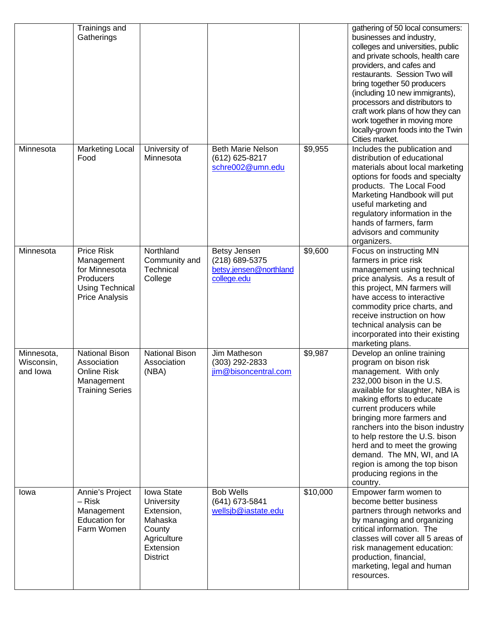|                                      | Trainings and<br>Gatherings                                                                                      |                                                                                                            |                                                                         |          | gathering of 50 local consumers:<br>businesses and industry,<br>colleges and universities, public<br>and private schools, health care<br>providers, and cafes and<br>restaurants. Session Two will<br>bring together 50 producers<br>(including 10 new immigrants),<br>processors and distributors to<br>craft work plans of how they can<br>work together in moving more<br>locally-grown foods into the Twin<br>Cities market.               |
|--------------------------------------|------------------------------------------------------------------------------------------------------------------|------------------------------------------------------------------------------------------------------------|-------------------------------------------------------------------------|----------|------------------------------------------------------------------------------------------------------------------------------------------------------------------------------------------------------------------------------------------------------------------------------------------------------------------------------------------------------------------------------------------------------------------------------------------------|
| Minnesota                            | <b>Marketing Local</b><br>Food                                                                                   | University of<br>Minnesota                                                                                 | <b>Beth Marie Nelson</b><br>(612) 625-8217<br>schre002@umn.edu          | \$9,955  | Includes the publication and<br>distribution of educational<br>materials about local marketing<br>options for foods and specialty<br>products. The Local Food<br>Marketing Handbook will put<br>useful marketing and<br>regulatory information in the<br>hands of farmers, farm<br>advisors and community<br>organizers.                                                                                                                       |
| Minnesota                            | <b>Price Risk</b><br>Management<br>for Minnesota<br>Producers<br><b>Using Technical</b><br><b>Price Analysis</b> | Northland<br>Community and<br>Technical<br>College                                                         | Betsy Jensen<br>(218) 689-5375<br>betsy.jensen@northland<br>college.edu | \$9,600  | Focus on instructing MN<br>farmers in price risk<br>management using technical<br>price analysis. As a result of<br>this project, MN farmers will<br>have access to interactive<br>commodity price charts, and<br>receive instruction on how<br>technical analysis can be<br>incorporated into their existing<br>marketing plans.                                                                                                              |
| Minnesota,<br>Wisconsin,<br>and lowa | <b>National Bison</b><br>Association<br><b>Online Risk</b><br>Management<br><b>Training Series</b>               | <b>National Bison</b><br>Association<br>(NBA)                                                              | Jim Matheson<br>(303) 292-2833<br>jim@bisoncentral.com                  | \$9,987  | Develop an online training<br>program on bison risk<br>management. With only<br>232,000 bison in the U.S.<br>available for slaughter, NBA is<br>making efforts to educate<br>current producers while<br>bringing more farmers and<br>ranchers into the bison industry<br>to help restore the U.S. bison<br>herd and to meet the growing<br>demand. The MN, WI, and IA<br>region is among the top bison<br>producing regions in the<br>country. |
| Iowa                                 | Annie's Project<br>– Risk<br>Management<br><b>Education for</b><br>Farm Women                                    | Iowa State<br>University<br>Extension,<br>Mahaska<br>County<br>Agriculture<br>Extension<br><b>District</b> | <b>Bob Wells</b><br>(641) 673-5841<br>wellsib@iastate.edu               | \$10,000 | Empower farm women to<br>become better business<br>partners through networks and<br>by managing and organizing<br>critical information. The<br>classes will cover all 5 areas of<br>risk management education:<br>production, financial,<br>marketing, legal and human<br>resources.                                                                                                                                                           |